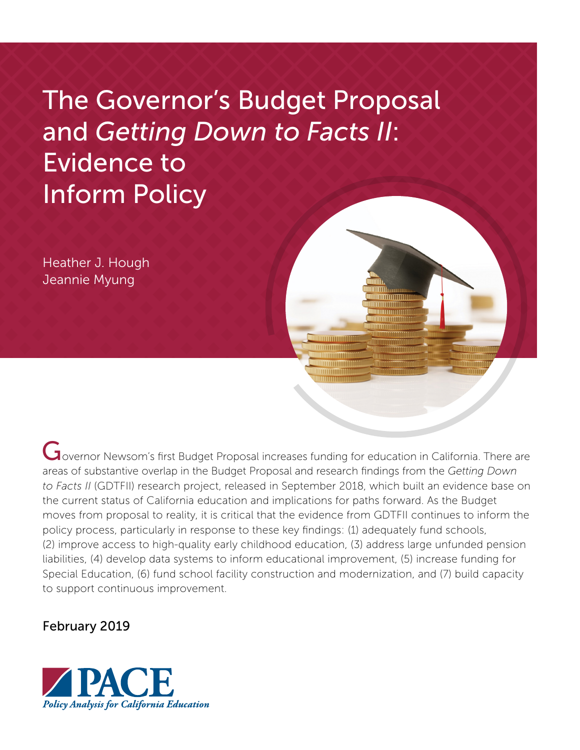# The Governor's Budget Proposal and *Getting Down to Facts II*: Evidence to Inform Policy

Heather J. Hough Jeannie Myung

Governor Newsom's first Budget Proposal increases funding for education in California. There are areas of substantive overlap in the Budget Proposal and research findings from the *Getting Down to Facts II* (GDTFII) research project, released in September 2018, which built an evidence base on the current status of California education and implications for paths forward. As the Budget moves from proposal to reality, it is critical that the evidence from GDTFII continues to inform the policy process, particularly in response to these key findings: (1) adequately fund schools, (2) improve access to high-quality early childhood education, (3) address large unfunded pension liabilities, (4) develop data systems to inform educational improvement, (5) increase funding for Special Education, (6) fund school facility construction and modernization, and (7) build capacity to support continuous improvement.

mmmm

### February 2019

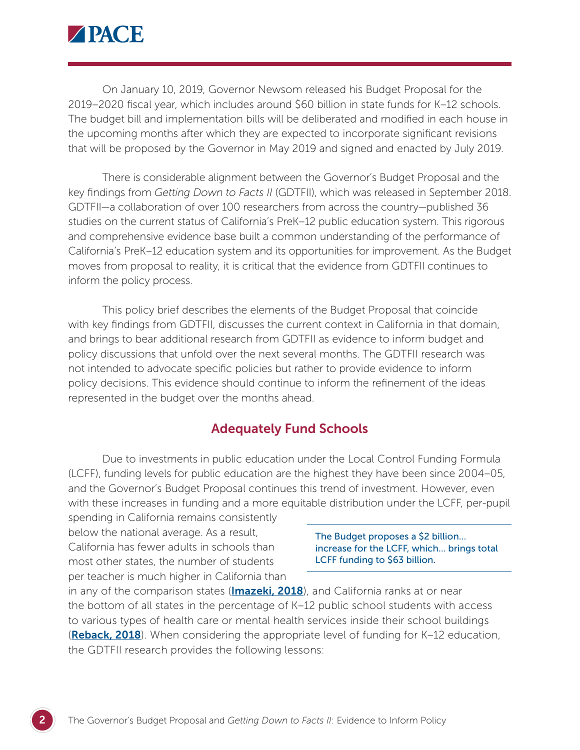

On January 10, 2019, Governor Newsom released his [Budget Proposal](http://www.ebudget.ca.gov/budget/2019-20/#/Home) for the 2019–2020 fiscal year, which includes around \$60 billion in state funds for K–12 schools. The budget bill and implementation bills will be deliberated and modified in each house in the upcoming months after which they are expected to incorporate significant revisions that will be proposed by the Governor in May 2019 and signed and enacted by July 2019.

There is considerable alignment between the Governor's Budget Proposal and the key findings from *Getting Down to Facts II* (GDTFII), which was released in September 2018. GDTFII—a collaboration of over 100 researchers from across the country—published 36 studies on the current status of California's PreK–12 public education system. This rigorous and comprehensive evidence base built a common understanding of the performance of California's PreK–12 education system and its opportunities for improvement. As the Budget moves from proposal to reality, it is critical that the evidence from GDTFII continues to inform the policy process.

This policy brief describes the elements of the Budget Proposal that coincide with key findings from GDTFII, discusses the current context in California in that domain, and brings to bear additional research from GDTFII as evidence to inform budget and policy discussions that unfold over the next several months. The GDTFII research was not intended to advocate specific policies but rather to provide evidence to inform policy decisions. This evidence should continue to inform the refinement of the ideas represented in the budget over the months ahead.

### Adequately Fund Schools

Due to investments in public education under the Local Control Funding Formula (LCFF), funding levels for public education are the highest they have been since 2004–05, and the Governor's Budget Proposal continues this trend of investment. However, even with these increases in funding and a more equitable distribution under the LCFF, per-pupil

spending in California remains consistently below the national average. As a result, California has fewer adults in schools than most other states, the number of students per teacher is much higher in California than

The Budget proposes a \$2 billion… increase for the LCFF, which… brings total LCFF funding to \$63 billion.

in any of the comparison states (**[Imazeki, 2018](https://gettingdowntofacts.com/publications/adequacy-and-state-funding-formulas-what-can-california-learn-research-and-national)**), and California ranks at or near the bottom of all states in the percentage of K–12 public school students with access to various types of health care or mental health services inside their school buildings (**[Reback, 2018](https://gettingdowntofacts.com/publications/investments-student-health-and-mental-health-californias-public-schools)**). When considering the appropriate level of funding for K-12 education, the GDTFII research provides the following lessons: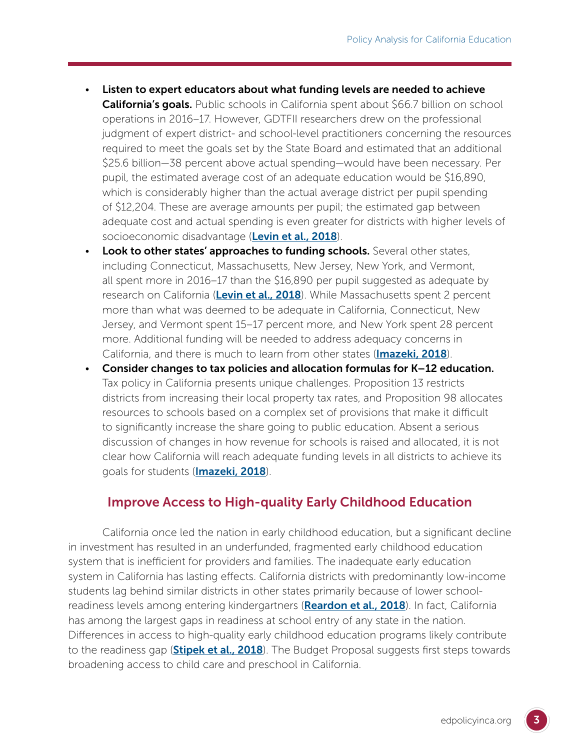- Listen to expert educators about what funding levels are needed to achieve **California's goals.** Public schools in California spent about \$66.7 billion on school operations in 2016–17. However, GDTFII researchers drew on the professional judgment of expert district- and school-level practitioners concerning the resources required to meet the goals set by the State Board and estimated that an additional \$25.6 billion—38 percent above actual spending—would have been necessary. Per pupil, the estimated average cost of an adequate education would be \$16,890, which is considerably higher than the actual average district per pupil spending of \$12,204. These are average amounts per pupil; the estimated gap between adequate cost and actual spending is even greater for districts with higher levels of socioeconomic disadvantage ([Levin et al., 2018](https://gettingdowntofacts.com/publications/what-does-it-cost-educate-californias-students-professional-judgment-approach)).
- Look to other states' approaches to funding schools. Several other states, including Connecticut, Massachusetts, New Jersey, New York, and Vermont, all spent more in 2016–17 than the \$16,890 per pupil suggested as adequate by research on California ([Levin et al., 2018](https://gettingdowntofacts.com/publications/what-does-it-cost-educate-californias-students-professional-judgment-approach)). While Massachusetts spent 2 percent more than what was deemed to be adequate in California, Connecticut, New Jersey, and Vermont spent 15–17 percent more, and New York spent 28 percent more. Additional funding will be needed to address adequacy concerns in California, and there is much to learn from other states (**[Imazeki, 2018](https://gettingdowntofacts.com/publications/adequacy-and-state-funding-formulas-what-can-california-learn-research-and-national)**).
- Consider changes to tax policies and allocation formulas for K–12 education. Tax policy in California presents unique challenges. Proposition 13 restricts districts from increasing their local property tax rates, and Proposition 98 allocates resources to schools based on a complex set of provisions that make it difficult to significantly increase the share going to public education. Absent a serious discussion of changes in how revenue for schools is raised and allocated, it is not clear how California will reach adequate funding levels in all districts to achieve its goals for students (**[Imazeki, 2018](https://gettingdowntofacts.com/publications/adequacy-and-state-funding-formulas-what-can-california-learn-research-and-national)**).

## Improve Access to High-quality Early Childhood Education

California once led the nation in early childhood education, but a significant decline in investment has resulted in an underfunded, fragmented early childhood education system that is inefficient for providers and families. The inadequate early education system in California has lasting effects. California districts with predominantly low-income students lag behind similar districts in other states primarily because of lower school-readiness levels among entering kindergartners ([Reardon et al., 2018](https://gettingdowntofacts.com/publications/portrait-educational-outcomes-california)). In fact, California has among the largest gaps in readiness at school entry of any state in the nation. Differences in access to high-quality early childhood education programs likely contribute to the readiness gap (**[Stipek et al., 2018](https://gettingdowntofacts.com/publications/early-childhood-education-california)**). The Budget Proposal suggests first steps towards broadening access to child care and preschool in California.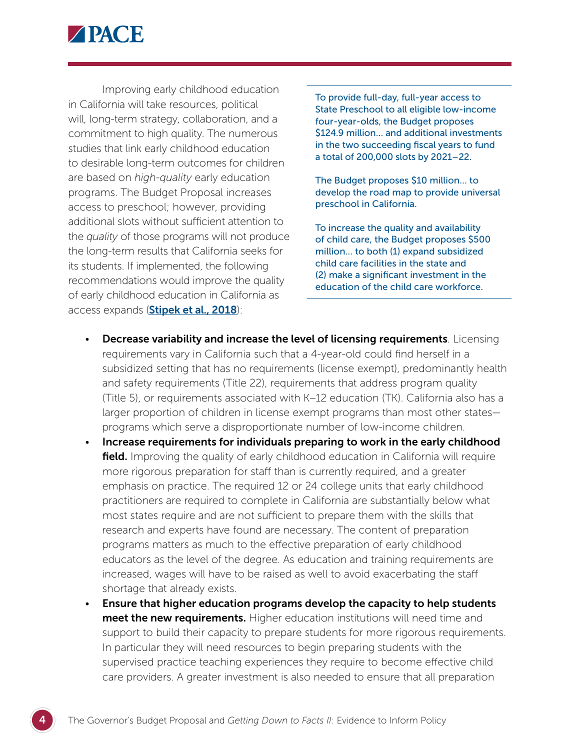

Improving early childhood education in California will take resources, political will, long-term strategy, collaboration, and a commitment to high quality. The numerous studies that link early childhood education to desirable long-term outcomes for children are based on *high-quality* early education programs. The Budget Proposal increases access to preschool; however, providing additional slots without sufficient attention to the *quality* of those programs will not produce the long-term results that California seeks for its students. If implemented, the following recommendations would improve the quality of early childhood education in California as access expands (**[Stipek et al., 2018](https://gettingdowntofacts.com/publications/early-childhood-education-california)**):

To provide full-day, full-year access to State Preschool to all eligible low-income four-year-olds, the Budget proposes \$124.9 million… and additional investments in the two succeeding fiscal years to fund a total of 200,000 slots by 2021–22.

The Budget proposes \$10 million… to develop the road map to provide universal preschool in California.

To increase the quality and availability of child care, the Budget proposes \$500 million… to both (1) expand subsidized child care facilities in the state and (2) make a significant investment in the education of the child care workforce.

- Decrease variability and increase the level of licensing requirements*.* Licensing requirements vary in California such that a 4-year-old could find herself in a subsidized setting that has no requirements (license exempt), predominantly health and safety requirements (Title 22), requirements that address program quality (Title 5), or requirements associated with K–12 education (TK). California also has a larger proportion of children in license exempt programs than most other states programs which serve a disproportionate number of low-income children.
- Increase requirements for individuals preparing to work in the early childhood **field.** Improving the quality of early childhood education in California will require more rigorous preparation for staff than is currently required, and a greater emphasis on practice. The required 12 or 24 college units that early childhood practitioners are required to complete in California are substantially below what most states require and are not sufficient to prepare them with the skills that research and experts have found are necessary. The content of preparation programs matters as much to the effective preparation of early childhood educators as the level of the degree. As education and training requirements are increased, wages will have to be raised as well to avoid exacerbating the staff shortage that already exists.
- Ensure that higher education programs develop the capacity to help students meet the new requirements. Higher education institutions will need time and support to build their capacity to prepare students for more rigorous requirements. In particular they will need resources to begin preparing students with the supervised practice teaching experiences they require to become effective child care providers. A greater investment is also needed to ensure that all preparation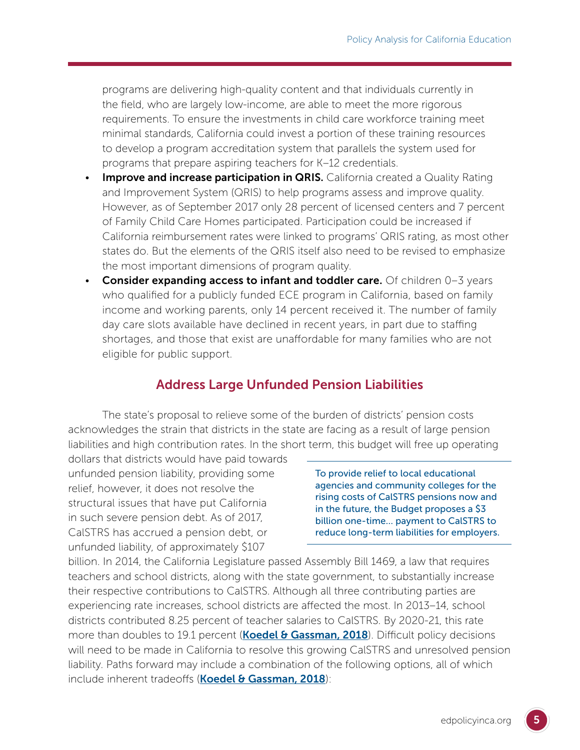programs are delivering high-quality content and that individuals currently in the field, who are largely low-income, are able to meet the more rigorous requirements. To ensure the investments in child care workforce training meet minimal standards, California could invest a portion of these training resources to develop a program accreditation system that parallels the system used for programs that prepare aspiring teachers for K–12 credentials.

- **Improve and increase participation in QRIS.** California created a Quality Rating and Improvement System (QRIS) to help programs assess and improve quality. However, as of September 2017 only 28 percent of licensed centers and 7 percent of Family Child Care Homes participated. Participation could be increased if California reimbursement rates were linked to programs' QRIS rating, as most other states do. But the elements of the QRIS itself also need to be revised to emphasize the most important dimensions of program quality.
- Consider expanding access to infant and toddler care. Of children  $0-3$  years who qualified for a publicly funded ECE program in California, based on family income and working parents, only 14 percent received it. The number of family day care slots available have declined in recent years, in part due to staffing shortages, and those that exist are unaffordable for many families who are not eligible for public support.

# Address Large Unfunded Pension Liabilities

The state's proposal to relieve some of the burden of districts' pension costs acknowledges the strain that districts in the state are facing as a result of large pension liabilities and high contribution rates. In the short term, this budget will free up operating

dollars that districts would have paid towards unfunded pension liability, providing some relief, however, it does not resolve the structural issues that have put California in such severe pension debt. As of 2017, CalSTRS has accrued a pension debt, or unfunded liability, of approximately \$107

To provide relief to local educational agencies and community colleges for the rising costs of CalSTRS pensions now and in the future, the Budget proposes a \$3 billion one-time… payment to CalSTRS to reduce long-term liabilities for employers.

billion. In 2014, the California Legislature passed Assembly Bill 1469, a law that requires teachers and school districts, along with the state government, to substantially increase their respective contributions to CalSTRS. Although all three contributing parties are experiencing rate increases, school districts are affected the most. In 2013–14, school districts contributed 8.25 percent of teacher salaries to CalSTRS. By 2020-21, this rate more than doubles to 19.1 percent (**[Koedel & Gassman, 2018](https://gettingdowntofacts.com/publications/pensions-and-california-public-schools)**). Difficult policy decisions will need to be made in California to resolve this growing CalSTRS and unresolved pension liability. Paths forward may include a combination of the following options, all of which include inherent tradeoffs ([Koedel & Gassman, 2018](https://gettingdowntofacts.com/publications/pensions-and-california-public-schools)):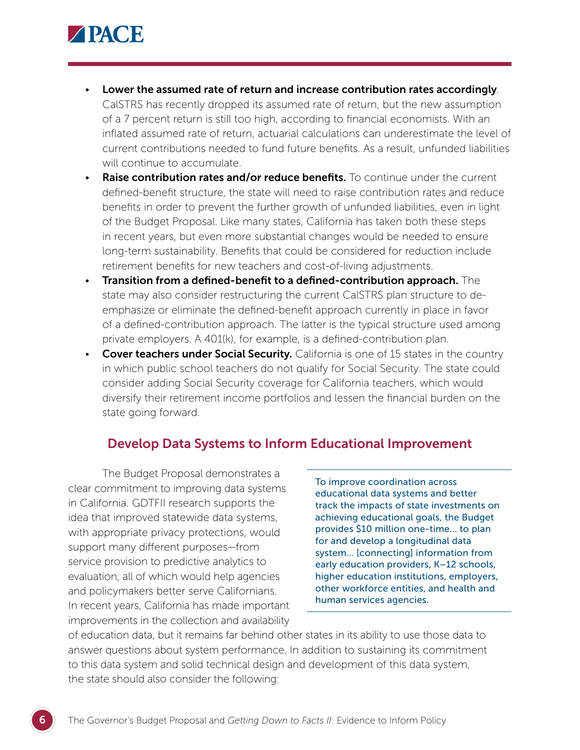

- Lower the assumed rate of return and increase contribution rates accordingly*.* CalSTRS has recently dropped its assumed rate of return, but the new assumption of a 7 percent return is still too high, according to financial economists. With an inflated assumed rate of return, actuarial calculations can underestimate the level of current contributions needed to fund future benefits. As a result, unfunded liabilities will continue to accumulate.
- Raise contribution rates and/or reduce benefits. To continue under the current defined-benefit structure, the state will need to raise contribution rates and reduce benefits in order to prevent the further growth of unfunded liabilities, even in light of the Budget Proposal. Like many states, California has taken both these steps in recent years, but even more substantial changes would be needed to ensure long-term sustainability. Benefits that could be considered for reduction include retirement benefits for new teachers and cost-of-living adjustments.
- Transition from a defined-benefit to a defined-contribution approach. The state may also consider restructuring the current CalSTRS plan structure to deemphasize or eliminate the defined-benefit approach currently in place in favor of a defined-contribution approach. The latter is the typical structure used among private employers. A 401(k), for example, is a defined-contribution plan.
- Cover teachers under Social Security. California is one of 15 states in the country in which public school teachers do not qualify for Social Security. The state could consider adding Social Security coverage for California teachers, which would diversify their retirement income portfolios and lessen the financial burden on the state going forward.

### Develop Data Systems to Inform Educational Improvement

The Budget Proposal demonstrates a clear commitment to improving data systems in California. GDTFII research supports the idea that improved statewide data systems, with appropriate privacy protections, would support many different purposes—from service provision to predictive analytics to evaluation, all of which would help agencies and policymakers better serve Californians. In recent years, California has made important improvements in the collection and availability

To improve coordination across educational data systems and better track the impacts of state investments on achieving educational goals, the Budget provides \$10 million one-time… to plan for and develop a longitudinal data system… [connecting] information from early education providers, K–12 schools, higher education institutions, employers, other workforce entities, and health and human services agencies.

of education data, but it remains far behind other states in its ability to use those data to answer questions about system performance. In addition to sustaining its commitment to this data system and solid technical design and development of this data system, the state should also consider the following: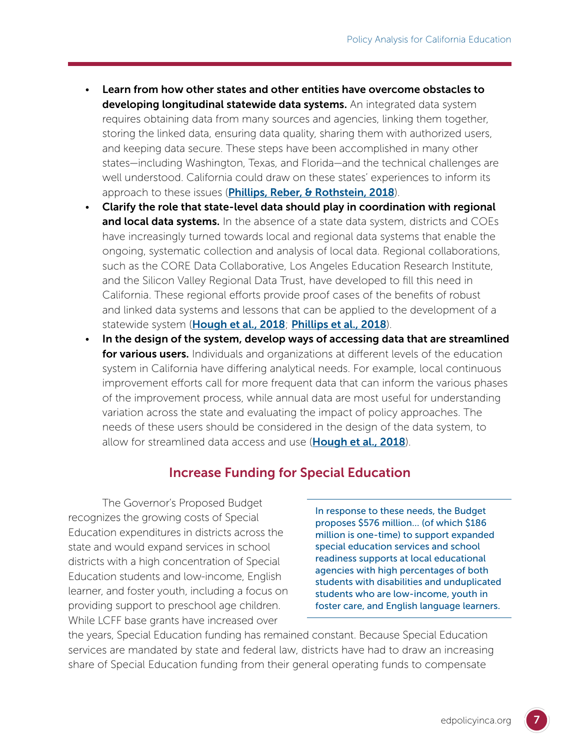- Learn from how other states and other entities have overcome obstacles to developing longitudinal statewide data systems. An integrated data system requires obtaining data from many sources and agencies, linking them together, storing the linked data, ensuring data quality, sharing them with authorized users, and keeping data secure. These steps have been accomplished in many other states—including Washington, Texas, and Florida—and the technical challenges are well understood. California could draw on these states' experiences to inform its approach to these issues (*[Phillips, Reber, & Rothstein, 2018](https://gettingdowntofacts.com/publications/making-california-data-more-useful-educational-improvement)*).
- Clarify the role that state-level data should play in coordination with regional and local data systems. In the absence of a state data system, districts and COEs have increasingly turned towards local and regional data systems that enable the ongoing, systematic collection and analysis of local data. Regional collaborations, such as the CORE Data Collaborative, Los Angeles Education Research Institute, and the Silicon Valley Regional Data Trust, have developed to fill this need in California. These regional efforts provide proof cases of the benefits of robust and linked data systems and lessons that can be applied to the development of a statewide system (**[Hough et al., 2018](https://gettingdowntofacts.com/publications/using-data-improvement-learning-core-data-collaborative)**; **[Phillips et al., 2018](https://gettingdowntofacts.com/publications/making-california-data-more-useful-educational-improvement)**).
- In the design of the system, develop ways of accessing data that are streamlined for various users. Individuals and organizations at different levels of the education system in California have differing analytical needs. For example, local continuous improvement efforts call for more frequent data that can inform the various phases of the improvement process, while annual data are most useful for understanding variation across the state and evaluating the impact of policy approaches. The needs of these users should be considered in the design of the data system, to allow for streamlined data access and use ([Hough et al., 2018](https://gettingdowntofacts.com/publications/using-data-improvement-learning-core-data-collaborative)).

# Increase Funding for Special Education

The Governor's Proposed Budget recognizes the growing costs of Special Education expenditures in districts across the state and would expand services in school districts with a high concentration of Special Education students and low-income, English learner, and foster youth, including a focus on providing support to preschool age children. While LCFF base grants have increased over

In response to these needs, the Budget proposes \$576 million… (of which \$186 million is one-time) to support expanded special education services and school readiness supports at local educational agencies with high percentages of both students with disabilities and unduplicated students who are low-income, youth in foster care, and English language learners.

the years, Special Education funding has remained constant. Because Special Education services are mandated by state and federal law, districts have had to draw an increasing share of Special Education funding from their general operating funds to compensate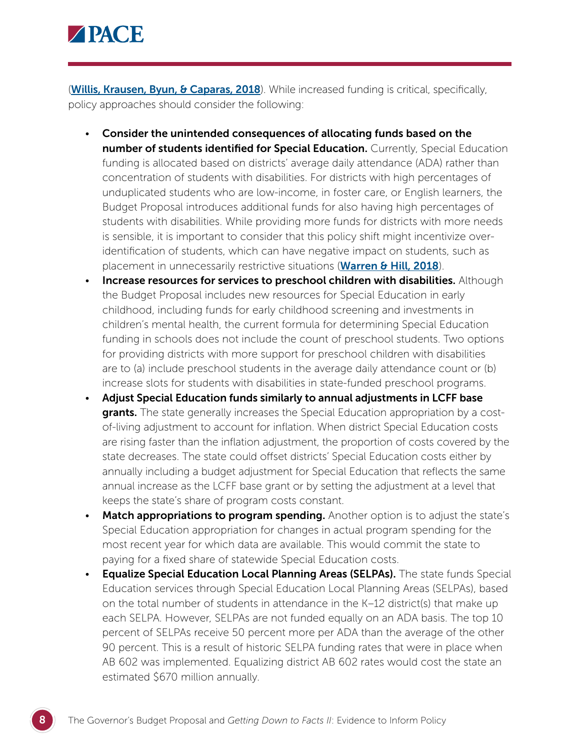

(**[Willis, Krausen, Byun, & Caparas, 2018](https://gettingdowntofacts.com/publications/era-local-control-funding-formula-shifting-role-californias-chief-business-officers)**). While increased funding is critical, specifically, policy approaches should consider the following:

- Consider the unintended consequences of allocating funds based on the number of students identified for Special Education. Currently, Special Education funding is allocated based on districts' average daily attendance (ADA) rather than concentration of students with disabilities. For districts with high percentages of unduplicated students who are low-income, in foster care, or English learners, the Budget Proposal introduces additional funds for also having high percentages of students with disabilities. While providing more funds for districts with more needs is sensible, it is important to consider that this policy shift might incentivize overidentification of students, which can have negative impact on students, such as placement in unnecessarily restrictive situations ([Warren & Hill, 2018](https://gettingdowntofacts.com/publications/revisiting-finance-and-governance-issues-special-education-0)).
- Increase resources for services to preschool children with disabilities. Although the Budget Proposal includes new resources for Special Education in early childhood, including funds for early childhood screening and investments in children's mental health, the current formula for determining Special Education funding in schools does not include the count of preschool students. Two options for providing districts with more support for preschool children with disabilities are to (a) include preschool students in the average daily attendance count or (b) increase slots for students with disabilities in state-funded preschool programs.
- Adjust Special Education funds similarly to annual adjustments in LCFF base **grants.** The state generally increases the Special Education appropriation by a costof-living adjustment to account for inflation. When district Special Education costs are rising faster than the inflation adjustment, the proportion of costs covered by the state decreases. The state could offset districts' Special Education costs either by annually including a budget adjustment for Special Education that reflects the same annual increase as the LCFF base grant or by setting the adjustment at a level that keeps the state's share of program costs constant.
- Match appropriations to program spending. Another option is to adjust the state's Special Education appropriation for changes in actual program spending for the most recent year for which data are available. This would commit the state to paying for a fixed share of statewide Special Education costs.
- **Equalize Special Education Local Planning Areas (SELPAs).** The state funds Special Education services through Special Education Local Planning Areas (SELPAs), based on the total number of students in attendance in the K–12 district(s) that make up each SELPA. However, SELPAs are not funded equally on an ADA basis. The top 10 percent of SELPAs receive 50 percent more per ADA than the average of the other 90 percent. This is a result of historic SELPA funding rates that were in place when AB 602 was implemented. Equalizing district AB 602 rates would cost the state an estimated \$670 million annually.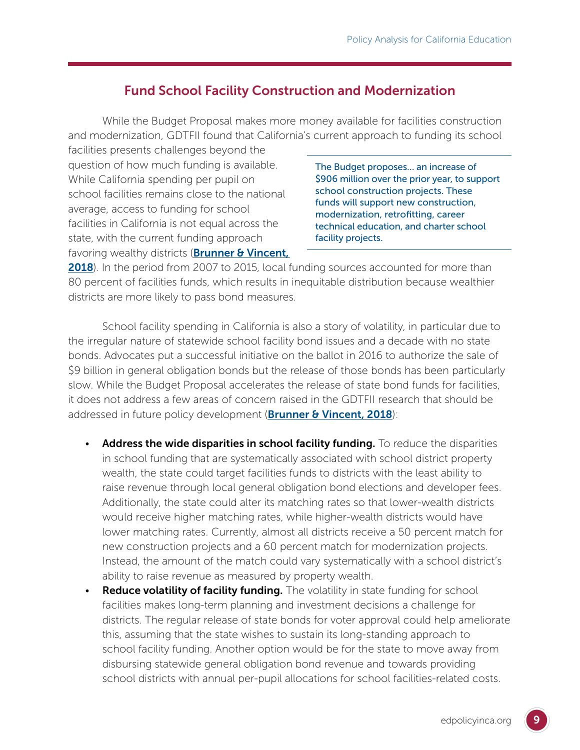# Fund School Facility Construction and Modernization

While the Budget Proposal makes more money available for facilities construction and modernization, GDTFII found that California's current approach to funding its school

facilities presents challenges beyond the question of how much funding is available. While California spending per pupil on school facilities remains close to the national average, access to funding for school facilities in California is not equal across the state, with the current funding approach favoring wealthy districts (**Brunner & Vincent**,

The Budget proposes… an increase of \$906 million over the prior year, to support school construction projects. These funds will support new construction, modernization, retrofitting, career technical education, and charter school facility projects.

[2018](https://gettingdowntofacts.com/publications/financing-school-facilities-california-ten-year-perspective)). In the period from 2007 to 2015, local funding sources accounted for more than 80 percent of facilities funds, which results in inequitable distribution because wealthier districts are more likely to pass bond measures.

School facility spending in California is also a story of volatility, in particular due to the irregular nature of statewide school facility bond issues and a decade with no state bonds. Advocates put a successful initiative on the ballot in 2016 to authorize the sale of \$9 billion in general obligation bonds but the release of those bonds has been particularly slow. While the Budget Proposal accelerates the release of state bond funds for facilities, it does not address a few areas of concern raised in the GDTFII research that should be addressed in future policy development (**[Brunner & Vincent, 2018](https://gettingdowntofacts.com/publications/revisiting-finance-and-governance-issues-special-education-0)**):

- Address the wide disparities in school facility funding. To reduce the disparities in school funding that are systematically associated with school district property wealth, the state could target facilities funds to districts with the least ability to raise revenue through local general obligation bond elections and developer fees. Additionally, the state could alter its matching rates so that lower-wealth districts would receive higher matching rates, while higher-wealth districts would have lower matching rates. Currently, almost all districts receive a 50 percent match for new construction projects and a 60 percent match for modernization projects. Instead, the amount of the match could vary systematically with a school district's ability to raise revenue as measured by property wealth.
- **Reduce volatility of facility funding.** The volatility in state funding for school facilities makes long-term planning and investment decisions a challenge for districts. The regular release of state bonds for voter approval could help ameliorate this, assuming that the state wishes to sustain its long-standing approach to school facility funding. Another option would be for the state to move away from disbursing statewide general obligation bond revenue and towards providing school districts with annual per-pupil allocations for school facilities-related costs.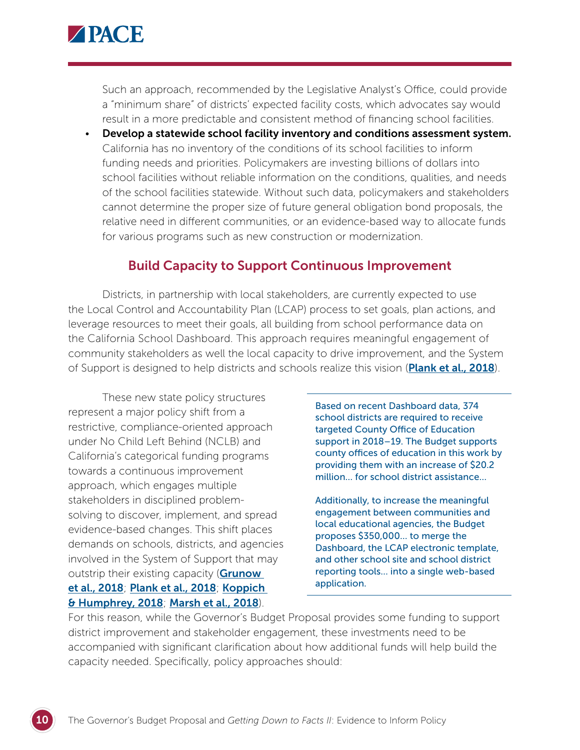

Such an approach, recommended by the Legislative Analyst's Office, could provide a "minimum share" of districts' expected facility costs, which advocates say would result in a more predictable and consistent method of financing school facilities.

• Develop a statewide school facility inventory and conditions assessment system. California has no inventory of the conditions of its school facilities to inform funding needs and priorities. Policymakers are investing billions of dollars into school facilities without reliable information on the conditions, qualities, and needs of the school facilities statewide. Without such data, policymakers and stakeholders cannot determine the proper size of future general obligation bond proposals, the relative need in different communities, or an evidence-based way to allocate funds for various programs such as new construction or modernization.

### Build Capacity to Support Continuous Improvement

Districts, in partnership with local stakeholders, are currently expected to use the Local Control and Accountability Plan (LCAP) process to set goals, plan actions, and leverage resources to meet their goals, all building from school performance data on the California School Dashboard. This approach requires meaningful engagement of community stakeholders as well the local capacity to drive improvement, and the System of Support is designed to help districts and schools realize this vision (**[Plank et al., 2018](https://gettingdowntofacts.com/publications/building-system-support-school-improvement)**).

These new state policy structures represent a major policy shift from a restrictive, compliance-oriented approach under No Child Left Behind (NCLB) and California's categorical funding programs towards a continuous improvement approach, which engages multiple stakeholders in disciplined problemsolving to discover, implement, and spread evidence-based changes. This shift places demands on schools, districts, and agencies involved in the System of Support that may outstrip their existing capacity (Grunow [et al., 2018](https://gettingdowntofacts.com/publications/towards-common-vision-continuous-improvement-california); [Plank et al., 2018](https://gettingdowntofacts.com/publications/building-system-support-school-improvement); [Koppich](https://gettingdowntofacts.com/publications/local-control-funding-formula-lcff-what-have-we-learned-after-four-years) 

[& Humphrey, 2018](https://gettingdowntofacts.com/publications/local-control-funding-formula-lcff-what-have-we-learned-after-four-years); [Marsh et al., 2018](https://gettingdowntofacts.com/publications/taking-stock-stakeholder-engagement-californias-local-control-funding-formula-what-can)).

Based on recent Dashboard data, 374 school districts are required to receive targeted County Office of Education support in 2018–19. The Budget supports county offices of education in this work by providing them with an increase of \$20.2 million… for school district assistance…

Additionally, to increase the meaningful engagement between communities and local educational agencies, the Budget proposes \$350,000… to merge the Dashboard, the LCAP electronic template, and other school site and school district reporting tools… into a single web-based application.

For this reason, while the Governor's Budget Proposal provides some funding to support district improvement and stakeholder engagement, these investments need to be accompanied with significant clarification about how additional funds will help build the capacity needed. Specifically, policy approaches should: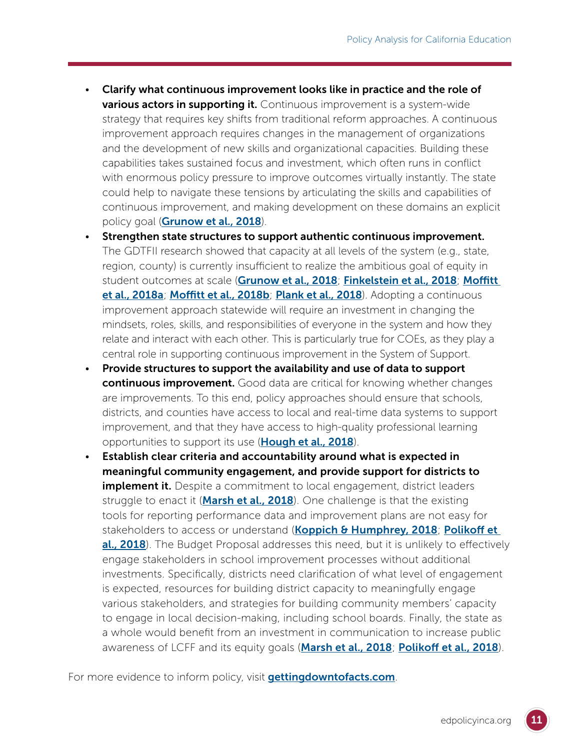- Clarify what continuous improvement looks like in practice and the role of **various actors in supporting it.** Continuous improvement is a system-wide strategy that requires key shifts from traditional reform approaches. A continuous improvement approach requires changes in the management of organizations and the development of new skills and organizational capacities. Building these capabilities takes sustained focus and investment, which often runs in conflict with enormous policy pressure to improve outcomes virtually instantly. The state could help to navigate these tensions by articulating the skills and capabilities of continuous improvement, and making development on these domains an explicit policy goal (**[Grunow et al., 2018](https://gettingdowntofacts.com/publications/towards-common-vision-continuous-improvement-california)**).
- Strengthen state structures to support authentic continuous improvement. The GDTFII research showed that capacity at all levels of the system (e.g., state, region, county) is currently insufficient to realize the ambitious goal of equity in student outcomes at scale ([Grunow et al., 2018](https://gettingdowntofacts.com/publications/towards-common-vision-continuous-improvement-california); [Finkelstein et al., 2018](https://gettingdowntofacts.com/publications/insights-standards-implementation-californias-schools); Moffitt [et al., 2018a](https://gettingdowntofacts.com/publications/frontlines-perspectives-instructional-support-common-core-era); [Moffitt et al., 2018b](https://gettingdowntofacts.com/publications/state-structures-instructional-support-california); [Plank et al., 2018](https://gettingdowntofacts.com/publications/building-system-support-school-improvement)). Adopting a continuous improvement approach statewide will require an investment in changing the mindsets, roles, skills, and responsibilities of everyone in the system and how they relate and interact with each other. This is particularly true for COEs, as they play a central role in supporting continuous improvement in the System of Support.
- Provide structures to support the availability and use of data to support continuous improvement. Good data are critical for knowing whether changes are improvements. To this end, policy approaches should ensure that schools, districts, and counties have access to local and real-time data systems to support improvement, and that they have access to high-quality professional learning opportunities to support its use ([Hough et al., 2018](https://gettingdowntofacts.com/publications/using-data-improvement-learning-core-data-collaborative)).
- Establish clear criteria and accountability around what is expected in meaningful community engagement, and provide support for districts to **implement it.** Despite a commitment to local engagement, district leaders struggle to enact it (**[Marsh et al., 2018](https://gettingdowntofacts.com/publications/taking-stock-stakeholder-engagement-californias-local-control-funding-formula-what-can)**). One challenge is that the existing tools for reporting performance data and improvement plans are not easy for stakeholders to access or understand (**[Koppich & Humphrey, 2018](https://gettingdowntofacts.com/publications/local-control-funding-formula-lcff-what-have-we-learned-after-four-years)**; Polikoff et [al., 2018](https://gettingdowntofacts.com/publications/need-improvement-assessing-california-dashboard-after-one-year)). The Budget Proposal addresses this need, but it is unlikely to effectively engage stakeholders in school improvement processes without additional investments. Specifically, districts need clarification of what level of engagement is expected, resources for building district capacity to meaningfully engage various stakeholders, and strategies for building community members' capacity to engage in local decision-making, including school boards. Finally, the state as a whole would benefit from an investment in communication to increase public awareness of LCFF and its equity goals ([Marsh et al., 2018](https://gettingdowntofacts.com/publications/taking-stock-stakeholder-engagement-californias-local-control-funding-formula-what-can); [Polikoff et al., 2018](https://gettingdowntofacts.com/publications/need-improvement-assessing-california-dashboard-after-one-year)).

For more evidence to inform policy, visit **[gettingdowntofacts.com](http://gettingdowntofacts.com)**.